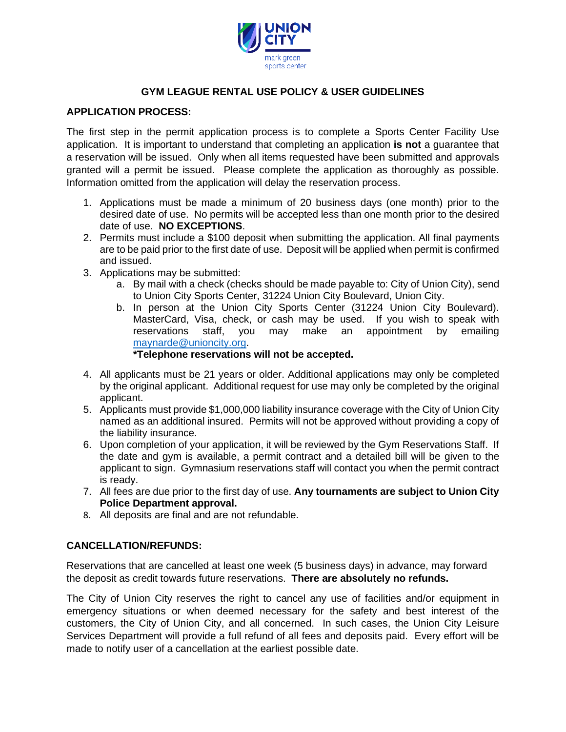

## **GYM LEAGUE RENTAL USE POLICY & USER GUIDELINES**

## **APPLICATION PROCESS:**

The first step in the permit application process is to complete a Sports Center Facility Use application. It is important to understand that completing an application **is not** a guarantee that a reservation will be issued. Only when all items requested have been submitted and approvals granted will a permit be issued. Please complete the application as thoroughly as possible. Information omitted from the application will delay the reservation process.

- 1. Applications must be made a minimum of 20 business days (one month) prior to the desired date of use. No permits will be accepted less than one month prior to the desired date of use. **NO EXCEPTIONS**.
- 2. Permits must include a \$100 deposit when submitting the application. All final payments are to be paid prior to the first date of use. Deposit will be applied when permit is confirmed and issued.
- 3. Applications may be submitted:
	- a. By mail with a check (checks should be made payable to: City of Union City), send to Union City Sports Center, 31224 Union City Boulevard, Union City.
	- b. In person at the Union City Sports Center (31224 Union City Boulevard). MasterCard, Visa, check, or cash may be used. If you wish to speak with reservations staff, you may make an appointment by emailing [maynarde@unioncity.org.](mailto:maynarde@unioncity.org)

#### **\*Telephone reservations will not be accepted.**

- 4. All applicants must be 21 years or older. Additional applications may only be completed by the original applicant. Additional request for use may only be completed by the original applicant.
- 5. Applicants must provide \$1,000,000 liability insurance coverage with the City of Union City named as an additional insured. Permits will not be approved without providing a copy of the liability insurance.
- 6. Upon completion of your application, it will be reviewed by the Gym Reservations Staff. If the date and gym is available, a permit contract and a detailed bill will be given to the applicant to sign. Gymnasium reservations staff will contact you when the permit contract is ready.
- 7. All fees are due prior to the first day of use. **Any tournaments are subject to Union City Police Department approval.**
- 8. All deposits are final and are not refundable.

### **CANCELLATION/REFUNDS:**

Reservations that are cancelled at least one week (5 business days) in advance, may forward the deposit as credit towards future reservations. **There are absolutely no refunds.** 

The City of Union City reserves the right to cancel any use of facilities and/or equipment in emergency situations or when deemed necessary for the safety and best interest of the customers, the City of Union City, and all concerned. In such cases, the Union City Leisure Services Department will provide a full refund of all fees and deposits paid. Every effort will be made to notify user of a cancellation at the earliest possible date.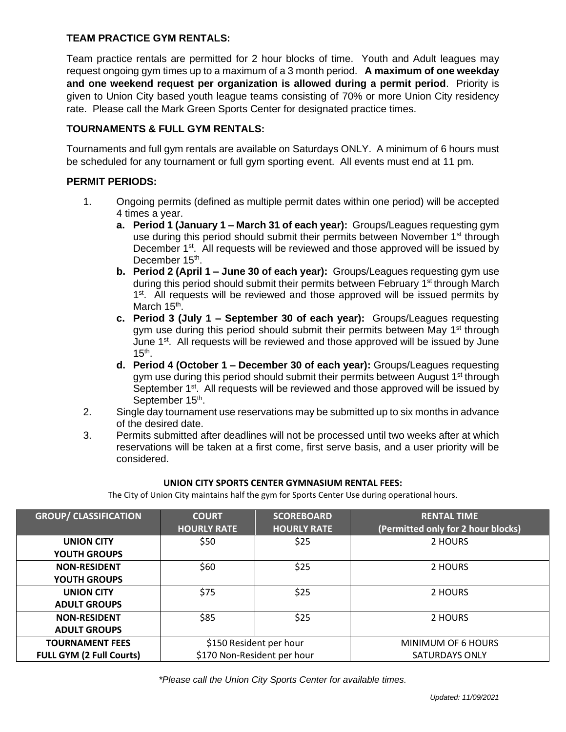### **TEAM PRACTICE GYM RENTALS:**

Team practice rentals are permitted for 2 hour blocks of time. Youth and Adult leagues may request ongoing gym times up to a maximum of a 3 month period. **A maximum of one weekday and one weekend request per organization is allowed during a permit period**. Priority is given to Union City based youth league teams consisting of 70% or more Union City residency rate. Please call the Mark Green Sports Center for designated practice times.

## **TOURNAMENTS & FULL GYM RENTALS:**

Tournaments and full gym rentals are available on Saturdays ONLY. A minimum of 6 hours must be scheduled for any tournament or full gym sporting event. All events must end at 11 pm.

## **PERMIT PERIODS:**

- 1. Ongoing permits (defined as multiple permit dates within one period) will be accepted 4 times a year.
	- **a. Period 1 (January 1 – March 31 of each year):** Groups/Leagues requesting gym use during this period should submit their permits between November 1<sup>st</sup> through December 1<sup>st</sup>. All requests will be reviewed and those approved will be issued by December 15<sup>th</sup>.
	- **b. Period 2 (April 1 – June 30 of each year):** Groups/Leagues requesting gym use during this period should submit their permits between February 1<sup>st</sup> through March 1<sup>st</sup>. All requests will be reviewed and those approved will be issued permits by March 15<sup>th</sup>.
	- **c. Period 3 (July 1 – September 30 of each year):** Groups/Leagues requesting gym use during this period should submit their permits between May 1<sup>st</sup> through June 1<sup>st</sup>. All requests will be reviewed and those approved will be issued by June  $15<sup>th</sup>$ .
	- **d. Period 4 (October 1 – December 30 of each year):** Groups/Leagues requesting gym use during this period should submit their permits between August 1<sup>st</sup> through September 1<sup>st</sup>. All requests will be reviewed and those approved will be issued by September 15<sup>th</sup>.
- 2. Single day tournament use reservations may be submitted up to six months in advance of the desired date.
- 3. Permits submitted after deadlines will not be processed until two weeks after at which reservations will be taken at a first come, first serve basis, and a user priority will be considered.

### **UNION CITY SPORTS CENTER GYMNASIUM RENTAL FEES:**

The City of Union City maintains half the gym for Sports Center Use during operational hours.

| <b>GROUP/ CLASSIFICATION</b>    | <b>COURT</b>                | <b>SCOREBOARD</b>  | <b>RENTAL TIME</b>                 |  |
|---------------------------------|-----------------------------|--------------------|------------------------------------|--|
|                                 | <b>HOURLY RATE</b>          | <b>HOURLY RATE</b> | (Permitted only for 2 hour blocks) |  |
| <b>UNION CITY</b>               | \$50                        | \$25               | 2 HOURS                            |  |
| <b>YOUTH GROUPS</b>             |                             |                    |                                    |  |
| <b>NON-RESIDENT</b>             | \$60                        | \$25               | 2 HOURS                            |  |
| <b>YOUTH GROUPS</b>             |                             |                    |                                    |  |
| <b>UNION CITY</b>               | \$75                        | \$25               | 2 HOURS                            |  |
| <b>ADULT GROUPS</b>             |                             |                    |                                    |  |
| <b>NON-RESIDENT</b>             | \$85                        | \$25               | 2 HOURS                            |  |
| <b>ADULT GROUPS</b>             |                             |                    |                                    |  |
| <b>TOURNAMENT FEES</b>          | \$150 Resident per hour     |                    | MINIMUM OF 6 HOURS                 |  |
| <b>FULL GYM (2 Full Courts)</b> | \$170 Non-Resident per hour |                    | <b>SATURDAYS ONLY</b>              |  |